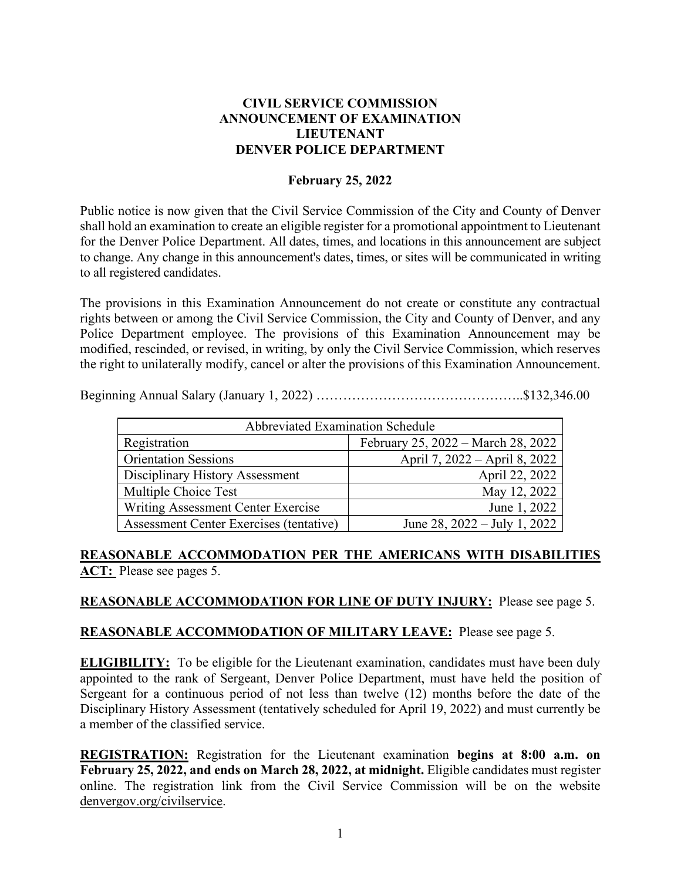## **CIVIL SERVICE COMMISSION ANNOUNCEMENT OF EXAMINATION LIEUTENANT DENVER POLICE DEPARTMENT**

### **February 25, 2022**

Public notice is now given that the Civil Service Commission of the City and County of Denver shall hold an examination to create an eligible register for a promotional appointment to Lieutenant for the Denver Police Department. All dates, times, and locations in this announcement are subject to change. Any change in this announcement's dates, times, or sites will be communicated in writing to all registered candidates.

The provisions in this Examination Announcement do not create or constitute any contractual rights between or among the Civil Service Commission, the City and County of Denver, and any Police Department employee. The provisions of this Examination Announcement may be modified, rescinded, or revised, in writing, by only the Civil Service Commission, which reserves the right to unilaterally modify, cancel or alter the provisions of this Examination Announcement.

Beginning Annual Salary (January 1, 2022) ………………………………………..\$132,346.00

| <b>Abbreviated Examination Schedule</b> |                                    |  |
|-----------------------------------------|------------------------------------|--|
| Registration                            | February 25, 2022 – March 28, 2022 |  |
| <b>Orientation Sessions</b>             | April 7, 2022 – April 8, 2022      |  |
| Disciplinary History Assessment         | April 22, 2022                     |  |
| Multiple Choice Test                    | May 12, 2022                       |  |
| Writing Assessment Center Exercise      | June 1, 2022                       |  |
| Assessment Center Exercises (tentative) | June 28, $2022 - July 1, 2022$     |  |

**REASONABLE ACCOMMODATION PER THE AMERICANS WITH DISABILITIES ACT:** Please see pages 5.

### **REASONABLE ACCOMMODATION FOR LINE OF DUTY INJURY:** Please see page 5.

### **REASONABLE ACCOMMODATION OF MILITARY LEAVE:** Please see page 5.

**ELIGIBILITY:** To be eligible for the Lieutenant examination, candidates must have been duly appointed to the rank of Sergeant, Denver Police Department, must have held the position of Sergeant for a continuous period of not less than twelve (12) months before the date of the Disciplinary History Assessment (tentatively scheduled for April 19, 2022) and must currently be a member of the classified service.

**REGISTRATION:** Registration for the Lieutenant examination **begins at 8:00 a.m. on February 25, 2022, and ends on March 28, 2022, at midnight.** Eligible candidates must register online. The registration link from the Civil Service Commission will be on the website denvergov.org/civilservice.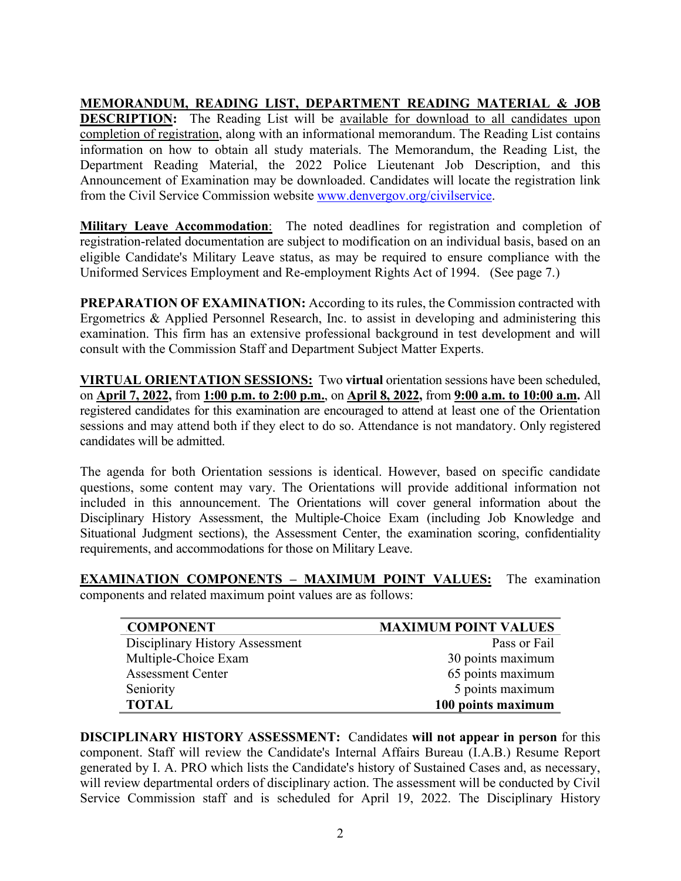**MEMORANDUM, READING LIST, DEPARTMENT READING MATERIAL & JOB DESCRIPTION:** The Reading List will be available for download to all candidates upon completion of registration, along with an informational memorandum. The Reading List contains information on how to obtain all study materials. The Memorandum, the Reading List, the Department Reading Material, the 2022 Police Lieutenant Job Description, and this Announcement of Examination may be downloaded. Candidates will locate the registration link from the Civil Service Commission website [www.denvergov.org/civilservice.](http://www.denvergov.org/civilservice)

**Military Leave Accommodation**: The noted deadlines for registration and completion of registration-related documentation are subject to modification on an individual basis, based on an eligible Candidate's Military Leave status, as may be required to ensure compliance with the Uniformed Services Employment and Re-employment Rights Act of 1994. (See page 7.)

**PREPARATION OF EXAMINATION:** According to its rules, the Commission contracted with Ergometrics & Applied Personnel Research, Inc. to assist in developing and administering this examination. This firm has an extensive professional background in test development and will consult with the Commission Staff and Department Subject Matter Experts.

**VIRTUAL ORIENTATION SESSIONS:** Two **virtual** orientation sessions have been scheduled, on **April 7, 2022,** from **1:00 p.m. to 2:00 p.m.**, on **April 8, 2022,** from **9:00 a.m. to 10:00 a.m.** All registered candidates for this examination are encouraged to attend at least one of the Orientation sessions and may attend both if they elect to do so. Attendance is not mandatory. Only registered candidates will be admitted.

The agenda for both Orientation sessions is identical. However, based on specific candidate questions, some content may vary. The Orientations will provide additional information not included in this announcement. The Orientations will cover general information about the Disciplinary History Assessment, the Multiple-Choice Exam (including Job Knowledge and Situational Judgment sections), the Assessment Center, the examination scoring, confidentiality requirements, and accommodations for those on Military Leave.

**EXAMINATION COMPONENTS – MAXIMUM POINT VALUES:** The examination components and related maximum point values are as follows:

| <b>COMPONENT</b>                | <b>MAXIMUM POINT VALUES</b> |
|---------------------------------|-----------------------------|
| Disciplinary History Assessment | Pass or Fail                |
| Multiple-Choice Exam            | 30 points maximum           |
| <b>Assessment Center</b>        | 65 points maximum           |
| Seniority                       | 5 points maximum            |
| <b>TOTAL</b>                    | 100 points maximum          |

**DISCIPLINARY HISTORY ASSESSMENT:** Candidates **will not appear in person** for this component. Staff will review the Candidate's Internal Affairs Bureau (I.A.B.) Resume Report generated by I. A. PRO which lists the Candidate's history of Sustained Cases and, as necessary, will review departmental orders of disciplinary action. The assessment will be conducted by Civil Service Commission staff and is scheduled for April 19, 2022. The Disciplinary History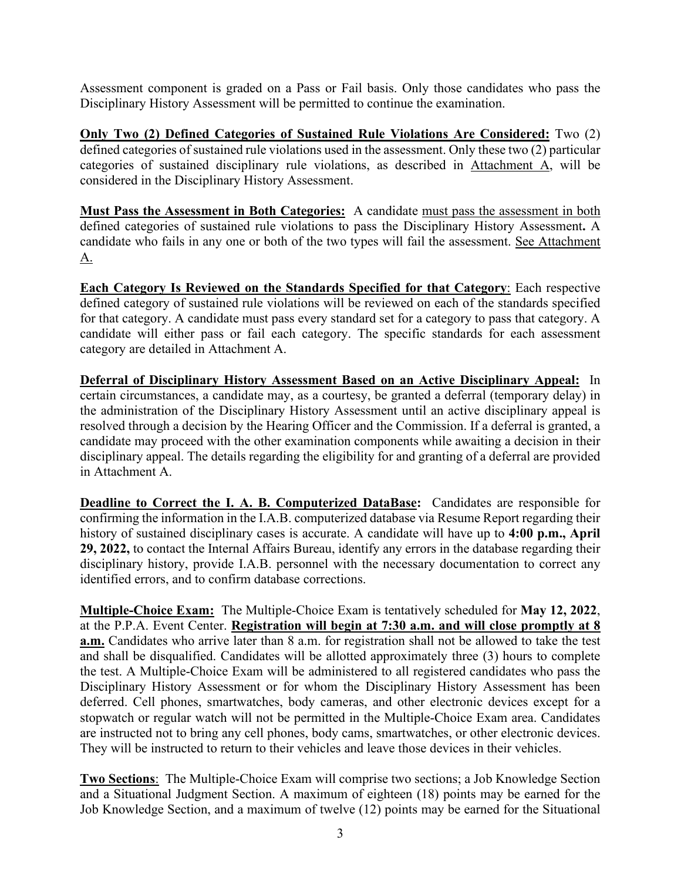Assessment component is graded on a Pass or Fail basis. Only those candidates who pass the Disciplinary History Assessment will be permitted to continue the examination.

**Only Two (2) Defined Categories of Sustained Rule Violations Are Considered:** Two (2) defined categories of sustained rule violations used in the assessment. Only these two (2) particular categories of sustained disciplinary rule violations, as described in Attachment A, will be considered in the Disciplinary History Assessment.

**Must Pass the Assessment in Both Categories:** A candidate must pass the assessment in both defined categories of sustained rule violations to pass the Disciplinary History Assessment**.** A candidate who fails in any one or both of the two types will fail the assessment. See Attachment A.

**Each Category Is Reviewed on the Standards Specified for that Category**: Each respective defined category of sustained rule violations will be reviewed on each of the standards specified for that category. A candidate must pass every standard set for a category to pass that category. A candidate will either pass or fail each category. The specific standards for each assessment category are detailed in Attachment A.

**Deferral of Disciplinary History Assessment Based on an Active Disciplinary Appeal:** In certain circumstances, a candidate may, as a courtesy, be granted a deferral (temporary delay) in the administration of the Disciplinary History Assessment until an active disciplinary appeal is resolved through a decision by the Hearing Officer and the Commission. If a deferral is granted, a candidate may proceed with the other examination components while awaiting a decision in their disciplinary appeal. The details regarding the eligibility for and granting of a deferral are provided in Attachment A.

**Deadline to Correct the I. A. B. Computerized DataBase:** Candidates are responsible for confirming the information in the I.A.B. computerized database via Resume Report regarding their history of sustained disciplinary cases is accurate. A candidate will have up to **4:00 p.m., April 29, 2022,** to contact the Internal Affairs Bureau, identify any errors in the database regarding their disciplinary history, provide I.A.B. personnel with the necessary documentation to correct any identified errors, and to confirm database corrections.

**Multiple-Choice Exam:** The Multiple-Choice Exam is tentatively scheduled for **May 12, 2022**, at the P.P.A. Event Center. **Registration will begin at 7:30 a.m. and will close promptly at 8 a.m.** Candidates who arrive later than 8 a.m. for registration shall not be allowed to take the test and shall be disqualified. Candidates will be allotted approximately three (3) hours to complete the test. A Multiple-Choice Exam will be administered to all registered candidates who pass the Disciplinary History Assessment or for whom the Disciplinary History Assessment has been deferred. Cell phones, smartwatches, body cameras, and other electronic devices except for a stopwatch or regular watch will not be permitted in the Multiple-Choice Exam area. Candidates are instructed not to bring any cell phones, body cams, smartwatches, or other electronic devices. They will be instructed to return to their vehicles and leave those devices in their vehicles.

**Two Sections**: The Multiple-Choice Exam will comprise two sections; a Job Knowledge Section and a Situational Judgment Section. A maximum of eighteen (18) points may be earned for the Job Knowledge Section, and a maximum of twelve (12) points may be earned for the Situational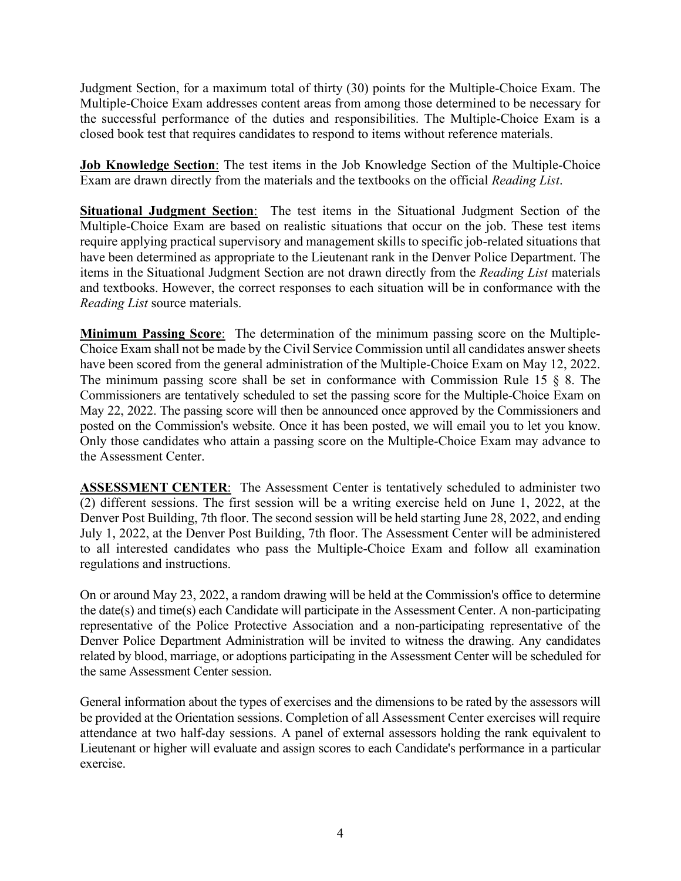Judgment Section, for a maximum total of thirty (30) points for the Multiple-Choice Exam. The Multiple-Choice Exam addresses content areas from among those determined to be necessary for the successful performance of the duties and responsibilities. The Multiple-Choice Exam is a closed book test that requires candidates to respond to items without reference materials.

**Job Knowledge Section**: The test items in the Job Knowledge Section of the Multiple-Choice Exam are drawn directly from the materials and the textbooks on the official *Reading List*.

**Situational Judgment Section**: The test items in the Situational Judgment Section of the Multiple-Choice Exam are based on realistic situations that occur on the job. These test items require applying practical supervisory and management skills to specific job-related situations that have been determined as appropriate to the Lieutenant rank in the Denver Police Department. The items in the Situational Judgment Section are not drawn directly from the *Reading List* materials and textbooks. However, the correct responses to each situation will be in conformance with the *Reading List* source materials.

**Minimum Passing Score**: The determination of the minimum passing score on the Multiple-Choice Exam shall not be made by the Civil Service Commission until all candidates answer sheets have been scored from the general administration of the Multiple-Choice Exam on May 12, 2022. The minimum passing score shall be set in conformance with Commission Rule 15 § 8. The Commissioners are tentatively scheduled to set the passing score for the Multiple-Choice Exam on May 22, 2022. The passing score will then be announced once approved by the Commissioners and posted on the Commission's website. Once it has been posted, we will email you to let you know. Only those candidates who attain a passing score on the Multiple-Choice Exam may advance to the Assessment Center.

**ASSESSMENT CENTER:** The Assessment Center is tentatively scheduled to administer two (2) different sessions. The first session will be a writing exercise held on June 1, 2022, at the Denver Post Building, 7th floor. The second session will be held starting June 28, 2022, and ending July 1, 2022, at the Denver Post Building, 7th floor. The Assessment Center will be administered to all interested candidates who pass the Multiple-Choice Exam and follow all examination regulations and instructions.

On or around May 23, 2022, a random drawing will be held at the Commission's office to determine the date(s) and time(s) each Candidate will participate in the Assessment Center. A non-participating representative of the Police Protective Association and a non-participating representative of the Denver Police Department Administration will be invited to witness the drawing. Any candidates related by blood, marriage, or adoptions participating in the Assessment Center will be scheduled for the same Assessment Center session.

General information about the types of exercises and the dimensions to be rated by the assessors will be provided at the Orientation sessions. Completion of all Assessment Center exercises will require attendance at two half-day sessions. A panel of external assessors holding the rank equivalent to Lieutenant or higher will evaluate and assign scores to each Candidate's performance in a particular exercise.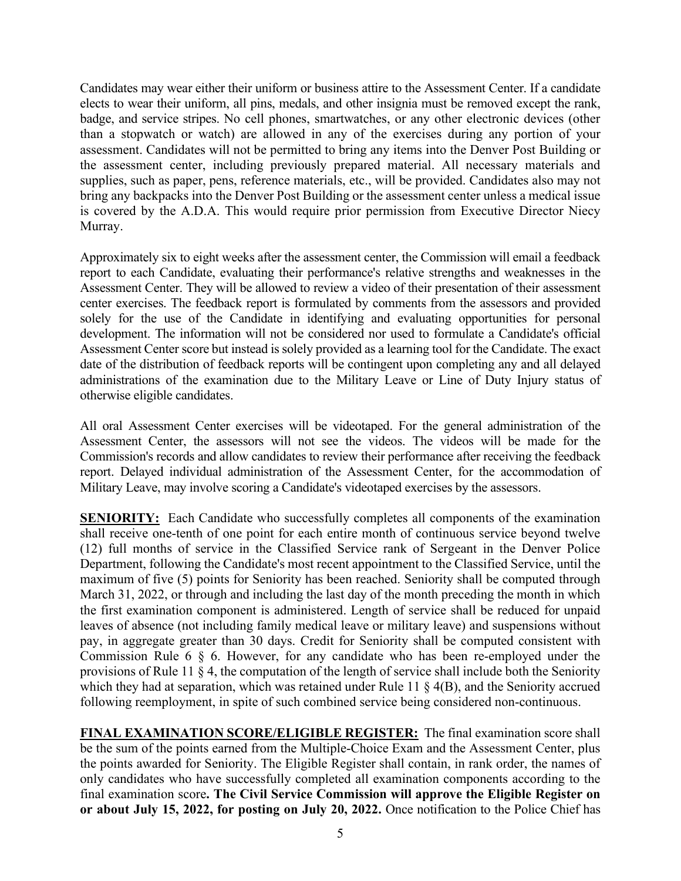Candidates may wear either their uniform or business attire to the Assessment Center. If a candidate elects to wear their uniform, all pins, medals, and other insignia must be removed except the rank, badge, and service stripes. No cell phones, smartwatches, or any other electronic devices (other than a stopwatch or watch) are allowed in any of the exercises during any portion of your assessment. Candidates will not be permitted to bring any items into the Denver Post Building or the assessment center, including previously prepared material. All necessary materials and supplies, such as paper, pens, reference materials, etc., will be provided. Candidates also may not bring any backpacks into the Denver Post Building or the assessment center unless a medical issue is covered by the A.D.A. This would require prior permission from Executive Director Niecy Murray.

Approximately six to eight weeks after the assessment center, the Commission will email a feedback report to each Candidate, evaluating their performance's relative strengths and weaknesses in the Assessment Center. They will be allowed to review a video of their presentation of their assessment center exercises. The feedback report is formulated by comments from the assessors and provided solely for the use of the Candidate in identifying and evaluating opportunities for personal development. The information will not be considered nor used to formulate a Candidate's official Assessment Center score but instead is solely provided as a learning tool for the Candidate. The exact date of the distribution of feedback reports will be contingent upon completing any and all delayed administrations of the examination due to the Military Leave or Line of Duty Injury status of otherwise eligible candidates.

All oral Assessment Center exercises will be videotaped. For the general administration of the Assessment Center, the assessors will not see the videos. The videos will be made for the Commission's records and allow candidates to review their performance after receiving the feedback report. Delayed individual administration of the Assessment Center, for the accommodation of Military Leave, may involve scoring a Candidate's videotaped exercises by the assessors.

**SENIORITY:** Each Candidate who successfully completes all components of the examination shall receive one-tenth of one point for each entire month of continuous service beyond twelve (12) full months of service in the Classified Service rank of Sergeant in the Denver Police Department, following the Candidate's most recent appointment to the Classified Service, until the maximum of five (5) points for Seniority has been reached. Seniority shall be computed through March 31, 2022, or through and including the last day of the month preceding the month in which the first examination component is administered. Length of service shall be reduced for unpaid leaves of absence (not including family medical leave or military leave) and suspensions without pay, in aggregate greater than 30 days. Credit for Seniority shall be computed consistent with Commission Rule 6 § 6. However, for any candidate who has been re-employed under the provisions of Rule 11 § 4, the computation of the length of service shall include both the Seniority which they had at separation, which was retained under Rule 11 § 4(B), and the Seniority accrued following reemployment, in spite of such combined service being considered non-continuous.

**FINAL EXAMINATION SCORE/ELIGIBLE REGISTER:** The final examination score shall be the sum of the points earned from the Multiple-Choice Exam and the Assessment Center, plus the points awarded for Seniority. The Eligible Register shall contain, in rank order, the names of only candidates who have successfully completed all examination components according to the final examination score**. The Civil Service Commission will approve the Eligible Register on or about July 15, 2022, for posting on July 20, 2022.** Once notification to the Police Chief has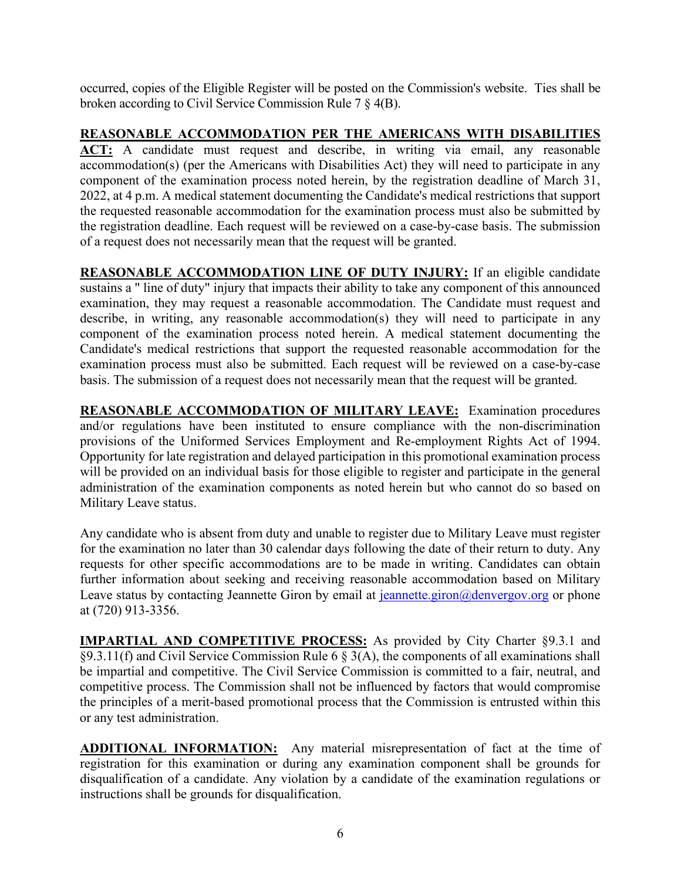occurred, copies of the Eligible Register will be posted on the Commission's website. Ties shall be broken according to Civil Service Commission Rule 7 § 4(B).

**REASONABLE ACCOMMODATION PER THE AMERICANS WITH DISABILITIES ACT:** A candidate must request and describe, in writing via email, any reasonable accommodation(s) (per the Americans with Disabilities Act) they will need to participate in any component of the examination process noted herein, by the registration deadline of March 31, 2022, at 4 p.m. A medical statement documenting the Candidate's medical restrictions that support the requested reasonable accommodation for the examination process must also be submitted by the registration deadline. Each request will be reviewed on a case-by-case basis. The submission of a request does not necessarily mean that the request will be granted.

**REASONABLE ACCOMMODATION LINE OF DUTY INJURY:** If an eligible candidate sustains a " line of duty" injury that impacts their ability to take any component of this announced examination, they may request a reasonable accommodation. The Candidate must request and describe, in writing, any reasonable accommodation(s) they will need to participate in any component of the examination process noted herein. A medical statement documenting the Candidate's medical restrictions that support the requested reasonable accommodation for the examination process must also be submitted. Each request will be reviewed on a case-by-case basis. The submission of a request does not necessarily mean that the request will be granted.

**REASONABLE ACCOMMODATION OF MILITARY LEAVE:** Examination procedures and/or regulations have been instituted to ensure compliance with the non-discrimination provisions of the Uniformed Services Employment and Re-employment Rights Act of 1994. Opportunity for late registration and delayed participation in this promotional examination process will be provided on an individual basis for those eligible to register and participate in the general administration of the examination components as noted herein but who cannot do so based on Military Leave status.

Any candidate who is absent from duty and unable to register due to Military Leave must register for the examination no later than 30 calendar days following the date of their return to duty. Any requests for other specific accommodations are to be made in writing. Candidates can obtain further information about seeking and receiving reasonable accommodation based on Military Leave status by contacting Jeannette Giron by email at [jeannette.giron@denvergov.org](mailto:jeff.wilson@denvergov.org) or phone at (720) 913-3356.

**IMPARTIAL AND COMPETITIVE PROCESS:** As provided by City Charter §9.3.1 and §9.3.11(f) and Civil Service Commission Rule 6 § 3(A), the components of all examinations shall be impartial and competitive. The Civil Service Commission is committed to a fair, neutral, and competitive process. The Commission shall not be influenced by factors that would compromise the principles of a merit-based promotional process that the Commission is entrusted within this or any test administration.

**ADDITIONAL INFORMATION:** Any material misrepresentation of fact at the time of registration for this examination or during any examination component shall be grounds for disqualification of a candidate. Any violation by a candidate of the examination regulations or instructions shall be grounds for disqualification.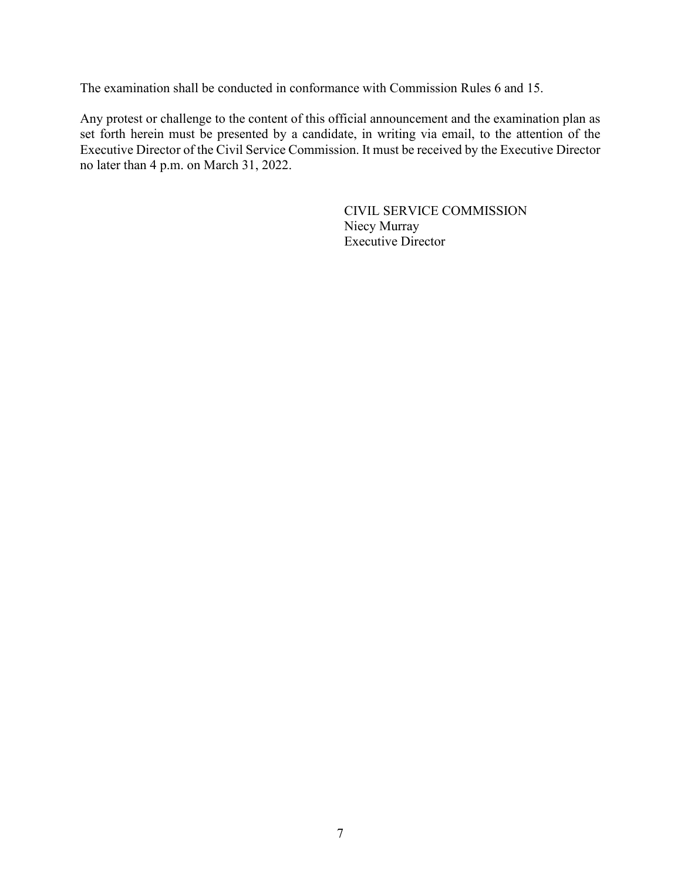The examination shall be conducted in conformance with Commission Rules 6 and 15.

Any protest or challenge to the content of this official announcement and the examination plan as set forth herein must be presented by a candidate, in writing via email, to the attention of the Executive Director of the Civil Service Commission. It must be received by the Executive Director no later than 4 p.m. on March 31, 2022.

> CIVIL SERVICE COMMISSION Niecy Murray Executive Director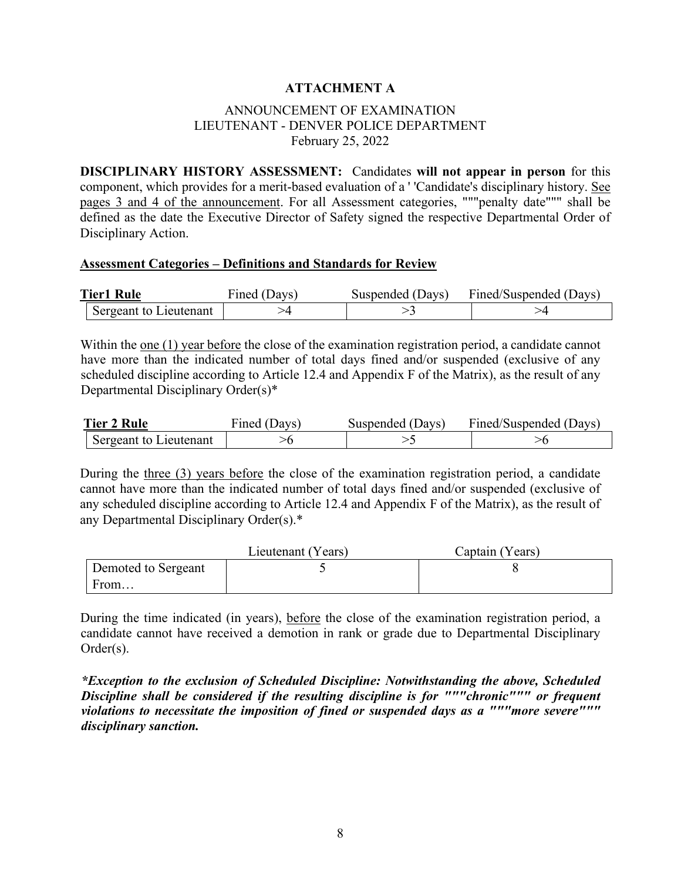## **ATTACHMENT A**

## ANNOUNCEMENT OF EXAMINATION LIEUTENANT - DENVER POLICE DEPARTMENT February 25, 2022

**DISCIPLINARY HISTORY ASSESSMENT:** Candidates **will not appear in person** for this component, which provides for a merit-based evaluation of a ' 'Candidate's disciplinary history. See pages 3 and 4 of the announcement. For all Assessment categories, """penalty date""" shall be defined as the date the Executive Director of Safety signed the respective Departmental Order of Disciplinary Action.

#### **Assessment Categories – Definitions and Standards for Review**

| <b>Tier1 Rule</b>      | Fined (Davs) | Suspended (Days) | Fined/Suspended (Days) |
|------------------------|--------------|------------------|------------------------|
| Sergeant to Lieutenant |              |                  |                        |

Within the one (1) year before the close of the examination registration period, a candidate cannot have more than the indicated number of total days fined and/or suspended (exclusive of any scheduled discipline according to Article 12.4 and Appendix F of the Matrix), as the result of any Departmental Disciplinary Order(s)\*

| <b>Tier 2 Rule</b>     | Fined (Days) | Suspended (Days) | Fined/Suspended (Days) |
|------------------------|--------------|------------------|------------------------|
| Sergeant to Lieutenant |              |                  |                        |

During the three (3) years before the close of the examination registration period, a candidate cannot have more than the indicated number of total days fined and/or suspended (exclusive of any scheduled discipline according to Article 12.4 and Appendix F of the Matrix), as the result of any Departmental Disciplinary Order(s).\*

|                     | Lieutenant (Years) | Captain (Years) |
|---------------------|--------------------|-----------------|
| Demoted to Sergeant |                    |                 |
| From                |                    |                 |

During the time indicated (in years), before the close of the examination registration period, a candidate cannot have received a demotion in rank or grade due to Departmental Disciplinary Order(s).

*\*Exception to the exclusion of Scheduled Discipline: Notwithstanding the above, Scheduled Discipline shall be considered if the resulting discipline is for """chronic""" or frequent violations to necessitate the imposition of fined or suspended days as a """more severe""" disciplinary sanction.*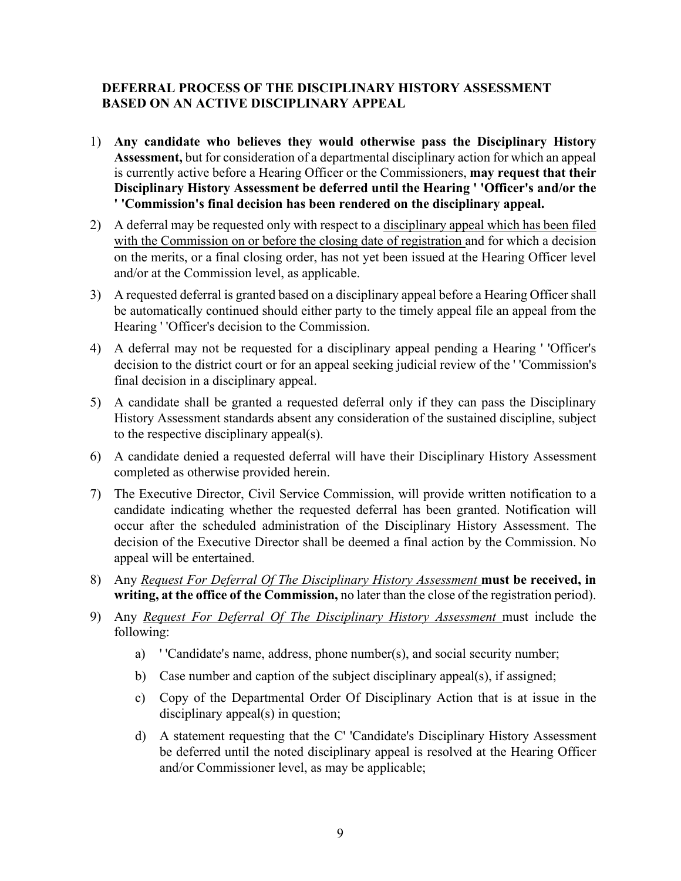# **DEFERRAL PROCESS OF THE DISCIPLINARY HISTORY ASSESSMENT BASED ON AN ACTIVE DISCIPLINARY APPEAL**

- 1) **Any candidate who believes they would otherwise pass the Disciplinary History Assessment,** but for consideration of a departmental disciplinary action for which an appeal is currently active before a Hearing Officer or the Commissioners, **may request that their Disciplinary History Assessment be deferred until the Hearing ' 'Officer's and/or the ' 'Commission's final decision has been rendered on the disciplinary appeal.**
- 2) A deferral may be requested only with respect to a disciplinary appeal which has been filed with the Commission on or before the closing date of registration and for which a decision on the merits, or a final closing order, has not yet been issued at the Hearing Officer level and/or at the Commission level, as applicable.
- 3) A requested deferral is granted based on a disciplinary appeal before a Hearing Officer shall be automatically continued should either party to the timely appeal file an appeal from the Hearing ' 'Officer's decision to the Commission.
- 4) A deferral may not be requested for a disciplinary appeal pending a Hearing ' 'Officer's decision to the district court or for an appeal seeking judicial review of the ' 'Commission's final decision in a disciplinary appeal.
- 5) A candidate shall be granted a requested deferral only if they can pass the Disciplinary History Assessment standards absent any consideration of the sustained discipline, subject to the respective disciplinary appeal(s).
- 6) A candidate denied a requested deferral will have their Disciplinary History Assessment completed as otherwise provided herein.
- 7) The Executive Director, Civil Service Commission, will provide written notification to a candidate indicating whether the requested deferral has been granted. Notification will occur after the scheduled administration of the Disciplinary History Assessment. The decision of the Executive Director shall be deemed a final action by the Commission. No appeal will be entertained.
- 8) Any *Request For Deferral Of The Disciplinary History Assessment* must be received, in **writing, at the office of the Commission,** no later than the close of the registration period).
- 9) Any *Request For Deferral Of The Disciplinary History Assessment* must include the following:
	- a) ' 'Candidate's name, address, phone number(s), and social security number;
	- b) Case number and caption of the subject disciplinary appeal(s), if assigned;
	- c) Copy of the Departmental Order Of Disciplinary Action that is at issue in the disciplinary appeal(s) in question;
	- d) A statement requesting that the C' 'Candidate's Disciplinary History Assessment be deferred until the noted disciplinary appeal is resolved at the Hearing Officer and/or Commissioner level, as may be applicable;